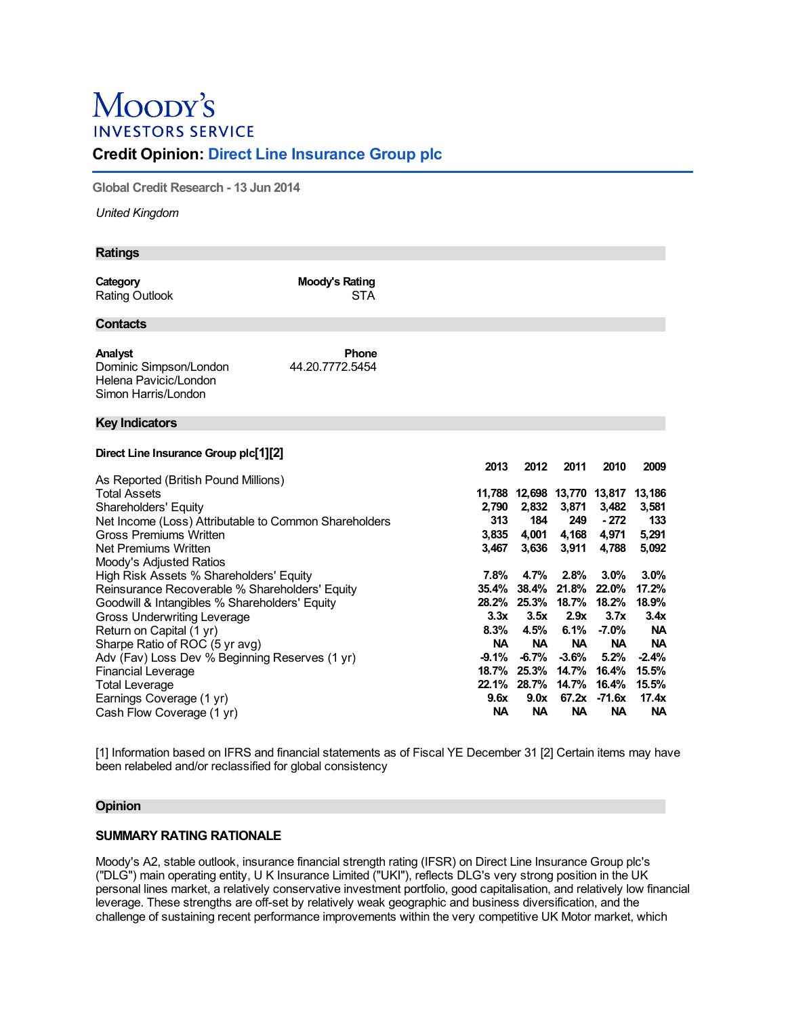# Moody's **INVESTORS SERVICE**

# **Credit Opinion: Direct Line Insurance Group plc**

**Global Credit Research - 13 Jun 2014**

*United Kingdom*

| <b>Ratings</b>                                                                                                                                                                                                                                                                                                                                                                     |                                 |                                                               |                                                                                                            |                                                                                           |                                                                                            |                                                                                                |
|------------------------------------------------------------------------------------------------------------------------------------------------------------------------------------------------------------------------------------------------------------------------------------------------------------------------------------------------------------------------------------|---------------------------------|---------------------------------------------------------------|------------------------------------------------------------------------------------------------------------|-------------------------------------------------------------------------------------------|--------------------------------------------------------------------------------------------|------------------------------------------------------------------------------------------------|
| Category<br>Rating Outlook                                                                                                                                                                                                                                                                                                                                                         | Moody's Rating<br><b>STA</b>    |                                                               |                                                                                                            |                                                                                           |                                                                                            |                                                                                                |
| Contacts                                                                                                                                                                                                                                                                                                                                                                           |                                 |                                                               |                                                                                                            |                                                                                           |                                                                                            |                                                                                                |
| Analyst<br>Dominic Simpson/London<br>Helena Pavicic/London<br>Simon Harris/London                                                                                                                                                                                                                                                                                                  | <b>Phone</b><br>44.20.7772.5454 |                                                               |                                                                                                            |                                                                                           |                                                                                            |                                                                                                |
| <b>Key Indicators</b>                                                                                                                                                                                                                                                                                                                                                              |                                 |                                                               |                                                                                                            |                                                                                           |                                                                                            |                                                                                                |
| Direct Line Insurance Group plc[1][2]                                                                                                                                                                                                                                                                                                                                              |                                 | 2013                                                          | 2012                                                                                                       | 2011                                                                                      | 2010                                                                                       | 2009                                                                                           |
| As Reported (British Pound Millions)<br><b>Total Assets</b><br>Shareholders' Equity<br>Net Income (Loss) Attributable to Common Shareholders<br>Gross Premiums Written                                                                                                                                                                                                             |                                 | 2,790<br>313<br>3.835                                         | 2,832<br>184<br>4,001                                                                                      | 3,871<br>249<br>4,168                                                                     | 11,788 12,698 13,770 13,817 13,186<br>3,482<br>$-272$<br>4,971                             | 3,581<br>133<br>5,291                                                                          |
| Net Premiums Written<br>Moody's Adjusted Ratios                                                                                                                                                                                                                                                                                                                                    | 3,467                           | 3,636                                                         | 3,911                                                                                                      | 4,788                                                                                     | 5,092                                                                                      |                                                                                                |
| High Risk Assets % Shareholders' Equity<br>Reinsurance Recoverable % Shareholders' Equity<br>Goodwill & Intangibles % Shareholders' Equity<br><b>Gross Underwriting Leverage</b><br>Return on Capital (1 yr)<br>Sharpe Ratio of ROC (5 yr avg)<br>Adv (Fav) Loss Dev % Beginning Reserves (1 yr)<br><b>Financial Leverage</b><br><b>Total Leverage</b><br>Earnings Coverage (1 yr) |                                 | 7.8%<br>35.4%<br>3.3x<br>8.3%<br><b>NA</b><br>$-9.1%$<br>9.6x | 4.7%<br>38.4%<br>28.2% 25.3%<br>3.5x<br>4.5%<br><b>NA</b><br>$-6.7%$<br>18.7% 25.3%<br>22.1% 28.7%<br>9.0x | 2.8%<br>21.8%<br>18.7%<br>2.9x<br>6.1%<br><b>NA</b><br>$-3.6%$<br>14.7%<br>14.7%<br>67.2x | 3.0%<br>22.0%<br>18.2%<br>3.7x<br>$-7.0%$<br><b>NA</b><br>5.2%<br>16.4%<br>16.4%<br>-71.6x | 3.0%<br>17.2%<br>18.9%<br>3.4x<br><b>NA</b><br><b>NA</b><br>$-2.4%$<br>15.5%<br>15.5%<br>17.4x |
| Cash Flow Coverage (1 yr)                                                                                                                                                                                                                                                                                                                                                          |                                 | <b>NA</b>                                                     | <b>NA</b>                                                                                                  | <b>NA</b>                                                                                 | <b>NA</b>                                                                                  | <b>NA</b>                                                                                      |

[1] Information based on IFRS and financial statements as of Fiscal YE December 31 [2] Certain items may have been relabeled and/or reclassified for global consistency

### **Opinion**

# **SUMMARY RATING RATIONALE**

Moody's A2, stable outlook, insurance financial strength rating (IFSR) on Direct Line Insurance Group plc's ("DLG") main operating entity, U K Insurance Limited ("UKI"), reflects DLG's very strong position in the UK personal lines market, a relatively conservative investment portfolio, good capitalisation, and relatively low financial leverage. These strengths are off-set by relatively weak geographic and business diversification, and the challenge of sustaining recent performance improvements within the very competitive UK Motor market, which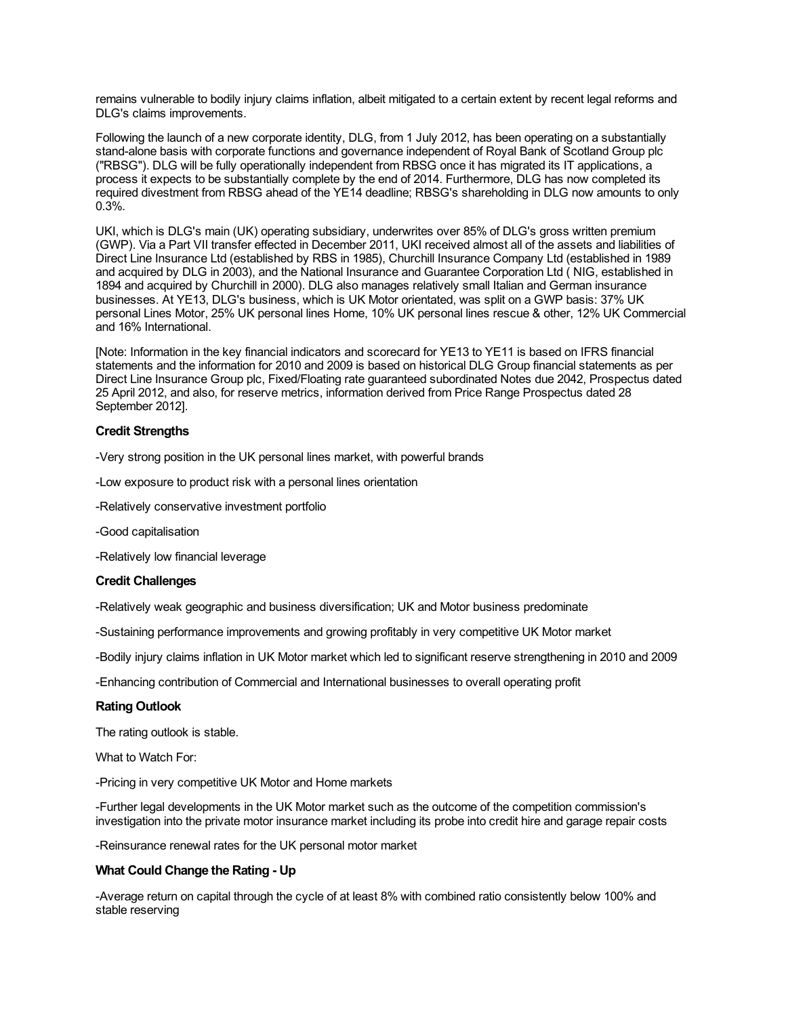remains vulnerable to bodily injury claims inflation, albeit mitigated to a certain extent by recent legal reforms and DLG's claims improvements.

Following the launch of a new corporate identity, DLG, from 1 July 2012, has been operating on a substantially stand-alone basis with corporate functions and governance independent of Royal Bank of Scotland Group plc ("RBSG"). DLG will be fully operationally independent from RBSG once it has migrated its IT applications, a process it expects to be substantially complete by the end of 2014. Furthermore, DLG has now completed its required divestment from RBSG ahead of the YE14 deadline; RBSG's shareholding in DLG now amounts to only 0.3%.

UKI, which is DLG's main (UK) operating subsidiary, underwrites over 85% of DLG's gross written premium (GWP). Via a Part VII transfer effected in December 2011, UKI received almost all of the assets and liabilities of Direct Line Insurance Ltd (established by RBS in 1985), Churchill Insurance Company Ltd (established in 1989 and acquired by DLG in 2003), and the National Insurance and Guarantee Corporation Ltd ( NIG, established in 1894 and acquired by Churchill in 2000). DLG also manages relatively small Italian and German insurance businesses. At YE13, DLG's business, which is UK Motor orientated, was split on a GWP basis: 37% UK personal Lines Motor, 25% UK personal lines Home, 10% UK personal lines rescue & other, 12% UK Commercial and 16% International.

[Note: Information in the key financial indicators and scorecard for YE13 to YE11 is based on IFRS financial statements and the information for 2010 and 2009 is based on historical DLG Group financial statements as per Direct Line Insurance Group plc, Fixed/Floating rate guaranteed subordinated Notes due 2042, Prospectus dated 25 April 2012, and also, for reserve metrics, information derived from Price Range Prospectus dated 28 September 2012].

# **Credit Strengths**

-Very strong position in the UK personal lines market, with powerful brands

- -Low exposure to product risk with a personal lines orientation
- -Relatively conservative investment portfolio
- -Good capitalisation
- -Relatively low financial leverage

### **Credit Challenges**

-Relatively weak geographic and business diversification; UK and Motor business predominate

-Sustaining performance improvements and growing profitably in very competitive UK Motor market

-Bodily injury claims inflation in UK Motor market which led to significant reserve strengthening in 2010 and 2009

-Enhancing contribution of Commercial and International businesses to overall operating profit

# **Rating Outlook**

The rating outlook is stable.

What to Watch For:

-Pricing in very competitive UK Motor and Home markets

-Further legal developments in the UK Motor market such as the outcome of the competition commission's investigation into the private motor insurance market including its probe into credit hire and garage repair costs

-Reinsurance renewal rates for the UK personal motor market

#### **What Could Change the Rating - Up**

-Average return on capital through the cycle of at least 8% with combined ratio consistently below 100% and stable reserving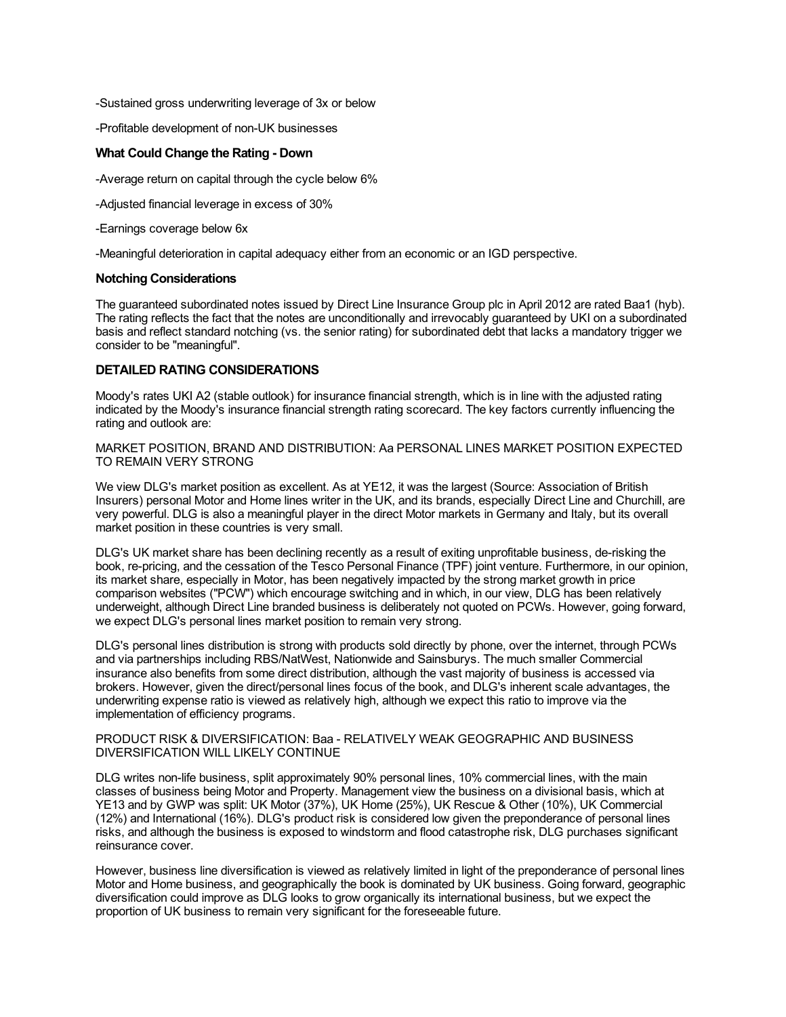-Sustained gross underwriting leverage of 3x or below

-Profitable development of non-UK businesses

#### **What Could Change the Rating - Down**

-Average return on capital through the cycle below 6%

-Adjusted financial leverage in excess of 30%

-Earnings coverage below 6x

-Meaningful deterioration in capital adequacy either from an economic or an IGD perspective.

# **Notching Considerations**

The guaranteed subordinated notes issued by Direct Line Insurance Group plc in April 2012 are rated Baa1 (hyb). The rating reflects the fact that the notes are unconditionally and irrevocably guaranteed by UKI on a subordinated basis and reflect standard notching (vs. the senior rating) for subordinated debt that lacks a mandatory trigger we consider to be "meaningful".

# **DETAILED RATING CONSIDERATIONS**

Moody's rates UKI A2 (stable outlook) for insurance financial strength, which is in line with the adjusted rating indicated by the Moody's insurance financial strength rating scorecard. The key factors currently influencing the rating and outlook are:

MARKET POSITION, BRAND AND DISTRIBUTION: Aa PERSONAL LINES MARKET POSITION EXPECTED TO REMAIN VERY STRONG

We view DLG's market position as excellent. As at YE12, it was the largest (Source: Association of British Insurers) personal Motor and Home lines writer in the UK, and its brands, especially Direct Line and Churchill, are very powerful. DLG is also a meaningful player in the direct Motor markets in Germany and Italy, but its overall market position in these countries is very small.

DLG's UK market share has been declining recently as a result of exiting unprofitable business, de-risking the book, re-pricing, and the cessation of the Tesco Personal Finance (TPF) joint venture. Furthermore, in our opinion, its market share, especially in Motor, has been negatively impacted by the strong market growth in price comparison websites ("PCW") which encourage switching and in which, in our view, DLG has been relatively underweight, although Direct Line branded business is deliberately not quoted on PCWs. However, going forward, we expect DLG's personal lines market position to remain very strong.

DLG's personal lines distribution is strong with products sold directly by phone, over the internet, through PCWs and via partnerships including RBS/NatWest, Nationwide and Sainsburys. The much smaller Commercial insurance also benefits from some direct distribution, although the vast majority of business is accessed via brokers. However, given the direct/personal lines focus of the book, and DLG's inherent scale advantages, the underwriting expense ratio is viewed as relatively high, although we expect this ratio to improve via the implementation of efficiency programs.

#### PRODUCT RISK & DIVERSIFICATION: Baa - RELATIVELY WEAK GEOGRAPHIC AND BUSINESS DIVERSIFICATION WILL LIKELY CONTINUE

DLG writes non-life business, split approximately 90% personal lines, 10% commercial lines, with the main classes of business being Motor and Property. Management view the business on a divisional basis, which at YE13 and by GWP was split: UK Motor (37%), UK Home (25%), UK Rescue & Other (10%), UK Commercial (12%) and International (16%). DLG's product risk is considered low given the preponderance of personal lines risks, and although the business is exposed to windstorm and flood catastrophe risk, DLG purchases significant reinsurance cover.

However, business line diversification is viewed as relatively limited in light of the preponderance of personal lines Motor and Home business, and geographically the book is dominated by UK business. Going forward, geographic diversification could improve as DLG looks to grow organically its international business, but we expect the proportion of UK business to remain very significant for the foreseeable future.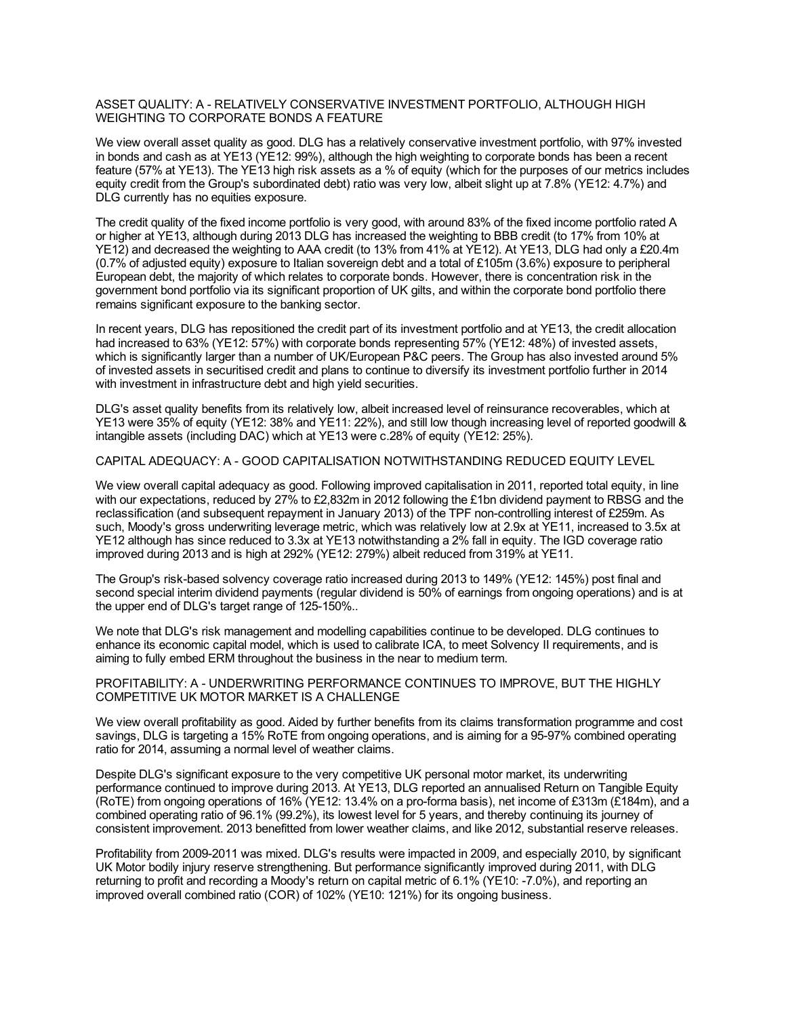#### ASSET QUALITY: A - RELATIVELY CONSERVATIVE INVESTMENT PORTFOLIO, ALTHOUGH HIGH WEIGHTING TO CORPORATE BONDS A FEATURE

We view overall asset quality as good. DLG has a relatively conservative investment portfolio, with 97% invested in bonds and cash as at YE13 (YE12: 99%), although the high weighting to corporate bonds has been a recent feature (57% at YE13). The YE13 high risk assets as a % of equity (which for the purposes of our metrics includes equity credit from the Group's subordinated debt) ratio was very low, albeit slight up at 7.8% (YE12: 4.7%) and DLG currently has no equities exposure.

The credit quality of the fixed income portfolio is very good, with around 83% of the fixed income portfolio rated A or higher at YE13, although during 2013 DLG has increased the weighting to BBB credit (to 17% from 10% at YE12) and decreased the weighting to AAA credit (to 13% from 41% at YE12). At YE13, DLG had only a £20.4m (0.7% of adjusted equity) exposure to Italian sovereign debt and a total of £105m (3.6%) exposure to peripheral European debt, the majority of which relates to corporate bonds. However, there is concentration risk in the government bond portfolio via its significant proportion of UK gilts, and within the corporate bond portfolio there remains significant exposure to the banking sector.

In recent years, DLG has repositioned the credit part of its investment portfolio and at YE13, the credit allocation had increased to 63% (YE12: 57%) with corporate bonds representing 57% (YE12: 48%) of invested assets, which is significantly larger than a number of UK/European P&C peers. The Group has also invested around 5% of invested assets in securitised credit and plans to continue to diversify its investment portfolio further in 2014 with investment in infrastructure debt and high yield securities.

DLG's asset quality benefits from its relatively low, albeit increased level of reinsurance recoverables, which at YE13 were 35% of equity (YE12: 38% and YE11: 22%), and still low though increasing level of reported goodwill & intangible assets (including DAC) which at YE13 were c.28% of equity (YE12: 25%).

### CAPITAL ADEQUACY: A - GOOD CAPITALISATION NOTWITHSTANDING REDUCED EQUITY LEVEL

We view overall capital adequacy as good. Following improved capitalisation in 2011, reported total equity, in line with our expectations, reduced by 27% to £2,832m in 2012 following the £1bn dividend payment to RBSG and the reclassification (and subsequent repayment in January 2013) of the TPF non-controlling interest of £259m. As such, Moody's gross underwriting leverage metric, which was relatively low at 2.9x at YE11, increased to 3.5x at YE12 although has since reduced to 3.3x at YE13 notwithstanding a 2% fall in equity. The IGD coverage ratio improved during 2013 and is high at 292% (YE12: 279%) albeit reduced from 319% at YE11.

The Group's risk-based solvency coverage ratio increased during 2013 to 149% (YE12: 145%) post final and second special interim dividend payments (regular dividend is 50% of earnings from ongoing operations) and is at the upper end of DLG's target range of 125-150%..

We note that DLG's risk management and modelling capabilities continue to be developed. DLG continues to enhance its economic capital model, which is used to calibrate ICA, to meet Solvency II requirements, and is aiming to fully embed ERM throughout the business in the near to medium term.

#### PROFITABILITY: A - UNDERWRITING PERFORMANCE CONTINUES TO IMPROVE, BUT THE HIGHLY COMPETITIVE UK MOTOR MARKET IS A CHALLENGE

We view overall profitability as good. Aided by further benefits from its claims transformation programme and cost savings, DLG is targeting a 15% RoTE from ongoing operations, and is aiming for a 95-97% combined operating ratio for 2014, assuming a normal level of weather claims.

Despite DLG's significant exposure to the very competitive UK personal motor market, its underwriting performance continued to improve during 2013. At YE13, DLG reported an annualised Return on Tangible Equity (RoTE) from ongoing operations of 16% (YE12: 13.4% on a pro-forma basis), net income of £313m (£184m), and a combined operating ratio of 96.1% (99.2%), its lowest level for 5 years, and thereby continuing its journey of consistent improvement. 2013 benefitted from lower weather claims, and like 2012, substantial reserve releases.

Profitability from 2009-2011 was mixed. DLG's results were impacted in 2009, and especially 2010, by significant UK Motor bodily injury reserve strengthening. But performance significantly improved during 2011, with DLG returning to profit and recording a Moody's return on capital metric of 6.1% (YE10: -7.0%), and reporting an improved overall combined ratio (COR) of 102% (YE10: 121%) for its ongoing business.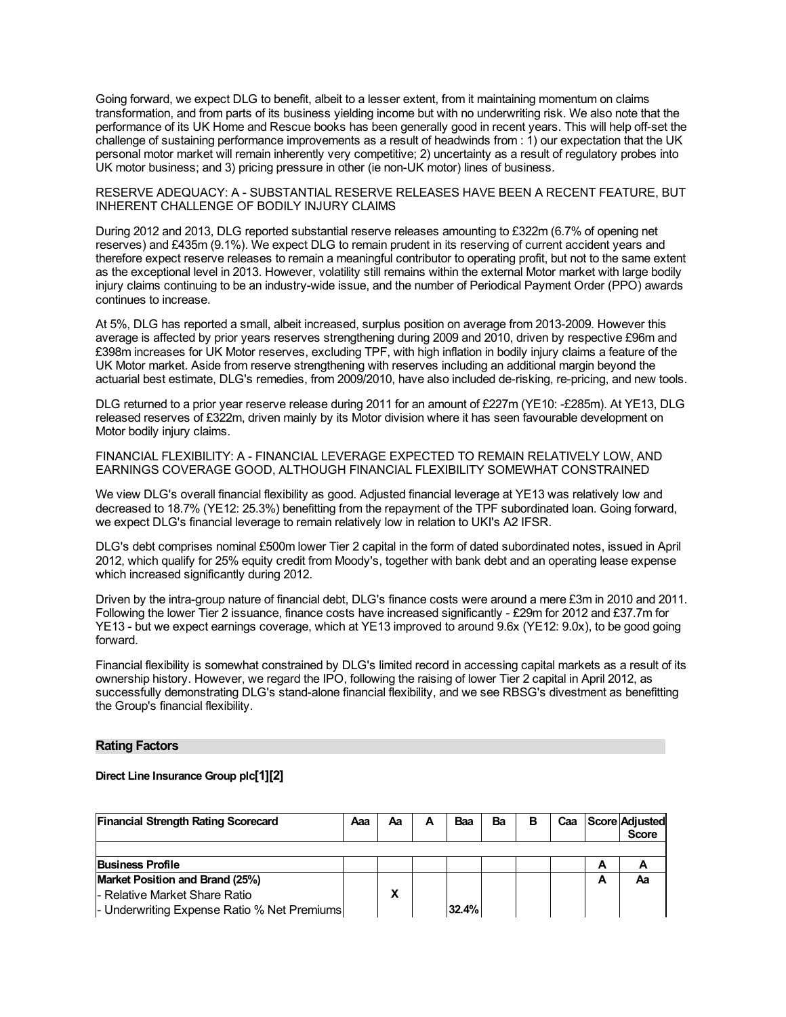Going forward, we expect DLG to benefit, albeit to a lesser extent, from it maintaining momentum on claims transformation, and from parts of its business yielding income but with no underwriting risk. We also note that the performance of its UK Home and Rescue books has been generally good in recent years. This will help off-set the challenge of sustaining performance improvements as a result of headwinds from : 1) our expectation that the UK personal motor market will remain inherently very competitive; 2) uncertainty as a result of regulatory probes into UK motor business; and 3) pricing pressure in other (ie non-UK motor) lines of business.

RESERVE ADEQUACY: A - SUBSTANTIAL RESERVE RELEASES HAVE BEEN A RECENT FEATURE, BUT INHERENT CHALLENGE OF BODILY INJURY CLAIMS

During 2012 and 2013, DLG reported substantial reserve releases amounting to £322m (6.7% of opening net reserves) and £435m (9.1%). We expect DLG to remain prudent in its reserving of current accident years and therefore expect reserve releases to remain a meaningful contributor to operating profit, but not to the same extent as the exceptional level in 2013. However, volatility still remains within the external Motor market with large bodily injury claims continuing to be an industry-wide issue, and the number of Periodical Payment Order (PPO) awards continues to increase.

At 5%, DLG has reported a small, albeit increased, surplus position on average from 2013-2009. However this average is affected by prior years reserves strengthening during 2009 and 2010, driven by respective £96m and £398m increases for UK Motor reserves, excluding TPF, with high inflation in bodily injury claims a feature of the UK Motor market. Aside from reserve strengthening with reserves including an additional margin beyond the actuarial best estimate, DLG's remedies, from 2009/2010, have also included de-risking, re-pricing, and new tools.

DLG returned to a prior year reserve release during 2011 for an amount of £227m (YE10: -£285m). At YE13, DLG released reserves of £322m, driven mainly by its Motor division where it has seen favourable development on Motor bodily injury claims.

FINANCIAL FLEXIBILITY: A - FINANCIAL LEVERAGE EXPECTED TO REMAIN RELATIVELY LOW, AND EARNINGS COVERAGE GOOD, ALTHOUGH FINANCIAL FLEXIBILITY SOMEWHAT CONSTRAINED

We view DLG's overall financial flexibility as good. Adjusted financial leverage at YE13 was relatively low and decreased to 18.7% (YE12: 25.3%) benefitting from the repayment of the TPF subordinated loan. Going forward, we expect DLG's financial leverage to remain relatively low in relation to UKI's A2 IFSR.

DLG's debt comprises nominal £500m lower Tier 2 capital in the form of dated subordinated notes, issued in April 2012, which qualify for 25% equity credit from Moody's, together with bank debt and an operating lease expense which increased significantly during 2012.

Driven by the intra-group nature of financial debt, DLG's finance costs were around a mere £3m in 2010 and 2011. Following the lower Tier 2 issuance, finance costs have increased significantly - £29m for 2012 and £37.7m for YE13 - but we expect earnings coverage, which at YE13 improved to around 9.6x (YE12: 9.0x), to be good going forward.

Financial flexibility is somewhat constrained by DLG's limited record in accessing capital markets as a result of its ownership history. However, we regard the IPO, following the raising of lower Tier 2 capital in April 2012, as successfully demonstrating DLG's stand-alone financial flexibility, and we see RBSG's divestment as benefitting the Group's financial flexibility.

#### **Rating Factors**

#### **Direct Line Insurance Group plc[1][2]**

| <b>Financial Strength Rating Scorecard</b>  | Aaa | Aа | А | Baa   | Ba | в | Caa |   | <b>Score Adjusted</b><br><b>Score</b> |
|---------------------------------------------|-----|----|---|-------|----|---|-----|---|---------------------------------------|
|                                             |     |    |   |       |    |   |     |   |                                       |
| <b>Business Profile</b>                     |     |    |   |       |    |   |     | А | n                                     |
| Market Position and Brand (25%)             |     |    |   |       |    |   |     | А | Αа                                    |
| - Relative Market Share Ratio               |     |    |   |       |    |   |     |   |                                       |
| - Underwriting Expense Ratio % Net Premiums |     |    |   | 32.4% |    |   |     |   |                                       |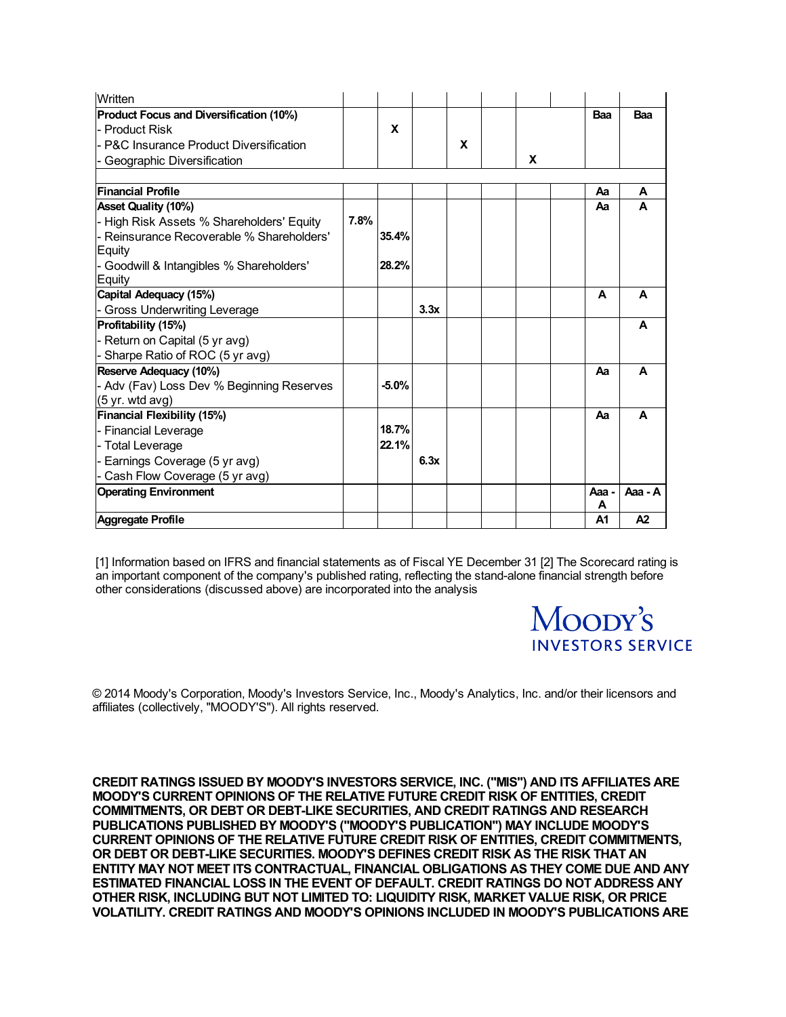| Written                                                      |      |         |      |   |   |            |         |
|--------------------------------------------------------------|------|---------|------|---|---|------------|---------|
| <b>Product Focus and Diversification (10%)</b>               |      |         |      |   |   | Baa        | Baa     |
| - Product Risk                                               |      | X       |      |   |   |            |         |
| - P&C Insurance Product Diversification                      |      |         |      | X |   |            |         |
| - Geographic Diversification                                 |      |         |      |   | X |            |         |
|                                                              |      |         |      |   |   |            |         |
| <b>Financial Profile</b>                                     |      |         |      |   |   | Aa         | A       |
| <b>Asset Quality (10%)</b>                                   |      |         |      |   |   | Aа         | A       |
| - High Risk Assets % Shareholders' Equity                    | 7.8% |         |      |   |   |            |         |
| l- Reinsurance Recoverable % Shareholders'<br>Equity         |      | 35.4%   |      |   |   |            |         |
| - Goodwill & Intangibles % Shareholders'                     |      | 28.2%   |      |   |   |            |         |
| Equity                                                       |      |         |      |   |   | A          | A       |
| Capital Adequacy (15%)                                       |      |         | 3.3x |   |   |            |         |
| - Gross Underwriting Leverage                                |      |         |      |   |   |            | A       |
| Profitability (15%)                                          |      |         |      |   |   |            |         |
| - Return on Capital (5 yr avg)                               |      |         |      |   |   |            |         |
| - Sharpe Ratio of ROC (5 yr avg)                             |      |         |      |   |   |            |         |
| Reserve Adequacy (10%)                                       |      |         |      |   |   | Aа         | A       |
| - Adv (Fav) Loss Dev % Beginning Reserves<br>(5 yr. wtd avg) |      | $-5.0%$ |      |   |   |            |         |
| <b>Financial Flexibility (15%)</b>                           |      |         |      |   |   | Aa         | A       |
| - Financial Leverage                                         |      | 18.7%   |      |   |   |            |         |
| - Total Leverage                                             |      | 22.1%   |      |   |   |            |         |
| - Earnings Coverage (5 yr avg)                               |      |         | 6.3x |   |   |            |         |
| - Cash Flow Coverage (5 yr avg)                              |      |         |      |   |   |            |         |
| <b>Operating Environment</b>                                 |      |         |      |   |   | Aaa -<br>A | Aaa - A |
| Aggregate Profile                                            |      |         |      |   |   | A1         | A2      |

[1] Information based on IFRS and financial statements as of Fiscal YE December 31 [2] The Scorecard rating is an important component of the company's published rating, reflecting the stand-alone financial strength before other considerations (discussed above) are incorporated into the analysis

> Moopy's **INVESTORS SERVICE**

© 2014 Moody's Corporation, Moody's Investors Service, Inc., Moody's Analytics, Inc. and/or their licensors and affiliates (collectively, "MOODY'S"). All rights reserved.

**CREDIT RATINGS ISSUED BY MOODY'S INVESTORS SERVICE, INC. ("MIS") AND ITS AFFILIATES ARE MOODY'S CURRENT OPINIONS OF THE RELATIVE FUTURE CREDIT RISK OF ENTITIES, CREDIT COMMITMENTS, OR DEBT OR DEBT-LIKE SECURITIES, AND CREDIT RATINGS AND RESEARCH PUBLICATIONS PUBLISHED BY MOODY'S ("MOODY'S PUBLICATION") MAY INCLUDE MOODY'S CURRENT OPINIONS OF THE RELATIVE FUTURE CREDIT RISK OF ENTITIES, CREDIT COMMITMENTS, OR DEBT OR DEBT-LIKE SECURITIES. MOODY'S DEFINES CREDIT RISK AS THE RISK THAT AN ENTITY MAY NOT MEET ITS CONTRACTUAL, FINANCIAL OBLIGATIONS AS THEY COME DUE AND ANY ESTIMATED FINANCIAL LOSS IN THE EVENT OF DEFAULT. CREDIT RATINGS DO NOT ADDRESS ANY OTHER RISK, INCLUDING BUT NOT LIMITED TO: LIQUIDITY RISK, MARKET VALUE RISK, OR PRICE VOLATILITY. CREDIT RATINGS AND MOODY'S OPINIONS INCLUDED IN MOODY'S PUBLICATIONS ARE**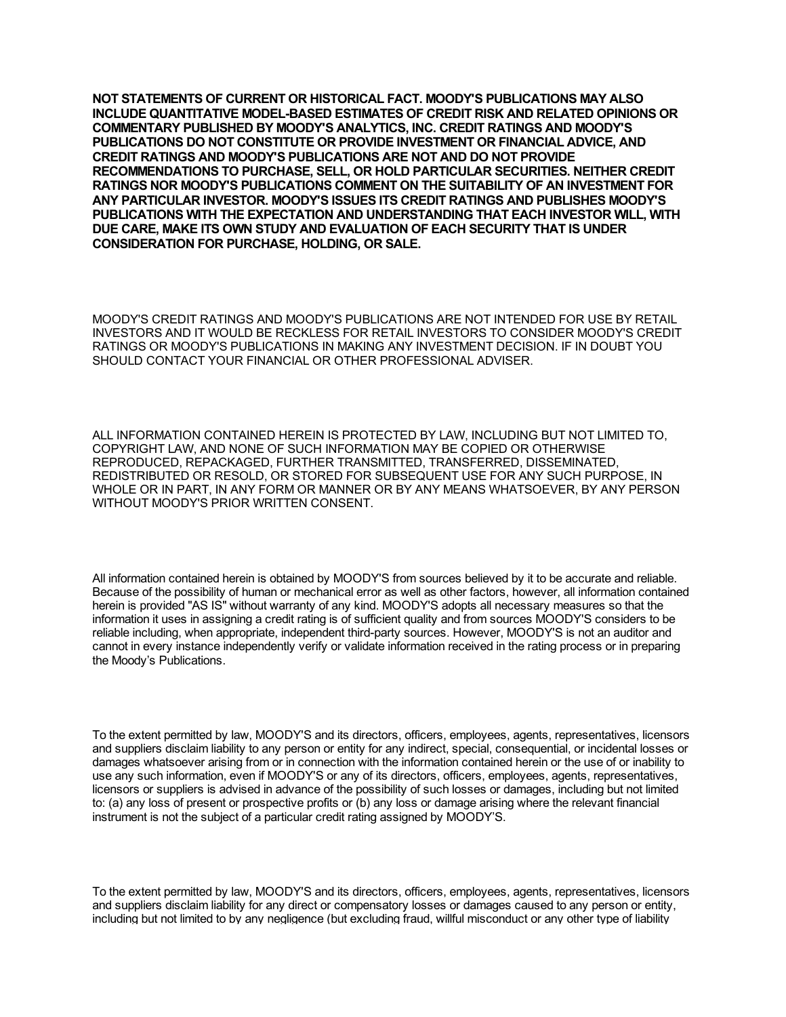**NOT STATEMENTS OF CURRENT OR HISTORICAL FACT. MOODY'S PUBLICATIONS MAY ALSO INCLUDE QUANTITATIVE MODEL-BASED ESTIMATES OF CREDIT RISK AND RELATED OPINIONS OR COMMENTARY PUBLISHED BY MOODY'S ANALYTICS, INC. CREDIT RATINGS AND MOODY'S PUBLICATIONS DO NOT CONSTITUTE OR PROVIDE INVESTMENT OR FINANCIAL ADVICE, AND CREDIT RATINGS AND MOODY'S PUBLICATIONS ARE NOT AND DO NOT PROVIDE RECOMMENDATIONS TO PURCHASE, SELL, OR HOLD PARTICULAR SECURITIES. NEITHER CREDIT RATINGS NOR MOODY'S PUBLICATIONS COMMENT ON THE SUITABILITY OF AN INVESTMENT FOR ANY PARTICULAR INVESTOR. MOODY'S ISSUES ITS CREDIT RATINGS AND PUBLISHES MOODY'S PUBLICATIONS WITH THE EXPECTATION AND UNDERSTANDING THAT EACH INVESTOR WILL, WITH DUE CARE, MAKE ITS OWN STUDY AND EVALUATION OF EACH SECURITY THAT IS UNDER CONSIDERATION FOR PURCHASE, HOLDING, OR SALE.**

MOODY'S CREDIT RATINGS AND MOODY'S PUBLICATIONS ARE NOT INTENDED FOR USE BY RETAIL INVESTORS AND IT WOULD BE RECKLESS FOR RETAIL INVESTORS TO CONSIDER MOODY'S CREDIT RATINGS OR MOODY'S PUBLICATIONS IN MAKING ANY INVESTMENT DECISION. IF IN DOUBT YOU SHOULD CONTACT YOUR FINANCIAL OR OTHER PROFESSIONAL ADVISER.

ALL INFORMATION CONTAINED HEREIN IS PROTECTED BY LAW, INCLUDING BUT NOT LIMITED TO, COPYRIGHT LAW, AND NONE OF SUCH INFORMATION MAY BE COPIED OR OTHERWISE REPRODUCED, REPACKAGED, FURTHER TRANSMITTED, TRANSFERRED, DISSEMINATED, REDISTRIBUTED OR RESOLD, OR STORED FOR SUBSEQUENT USE FOR ANY SUCH PURPOSE, IN WHOLE OR IN PART, IN ANY FORM OR MANNER OR BY ANY MEANS WHATSOEVER, BY ANY PERSON WITHOUT MOODY'S PRIOR WRITTEN CONSENT.

All information contained herein is obtained by MOODY'S from sources believed by it to be accurate and reliable. Because of the possibility of human or mechanical error as well as other factors, however, all information contained herein is provided "AS IS" without warranty of any kind. MOODY'S adopts all necessary measures so that the information it uses in assigning a credit rating is of sufficient quality and from sources MOODY'S considers to be reliable including, when appropriate, independent third-party sources. However, MOODY'S is not an auditor and cannot in every instance independently verify or validate information received in the rating process or in preparing the Moody's Publications.

To the extent permitted by law, MOODY'S and its directors, officers, employees, agents, representatives, licensors and suppliers disclaim liability to any person or entity for any indirect, special, consequential, or incidental losses or damages whatsoever arising from or in connection with the information contained herein or the use of or inability to use any such information, even if MOODY'S or any of its directors, officers, employees, agents, representatives, licensors or suppliers is advised in advance of the possibility of such losses or damages, including but not limited to: (a) any loss of present or prospective profits or (b) any loss or damage arising where the relevant financial instrument is not the subject of a particular credit rating assigned by MOODY'S.

To the extent permitted by law, MOODY'S and its directors, officers, employees, agents, representatives, licensors and suppliers disclaim liability for any direct or compensatory losses or damages caused to any person or entity, including but not limited to by any negligence (but excluding fraud, willful misconduct or any other type of liability